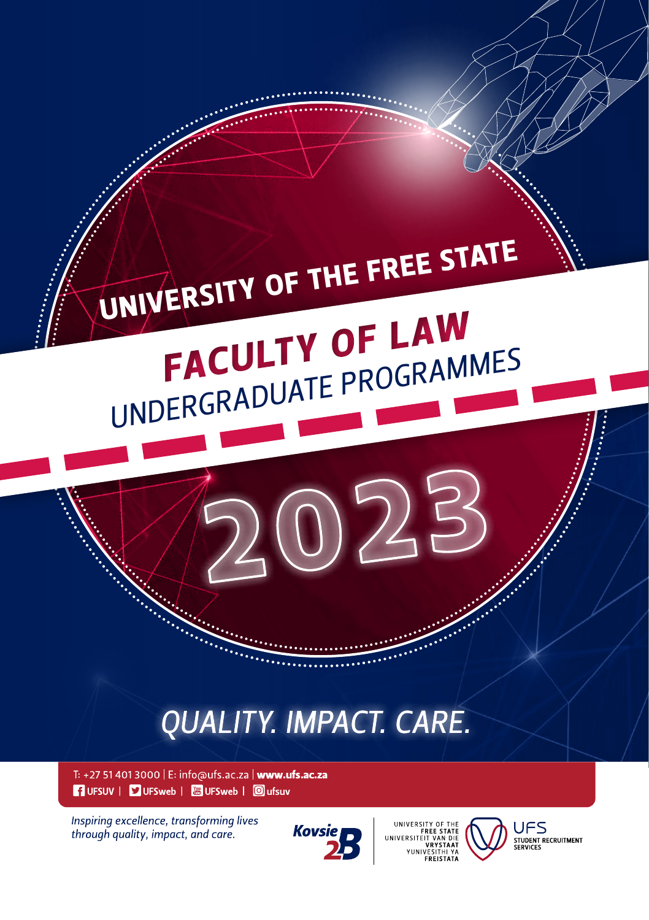

**1** UFSUV | **9** UFSweb | **8** UFSweb | **0** ufsuv

Inspiring excellence, transforming lives through quality, impact, and care.



VRYSTAAT



**UFS** STUDENT RECRUITMENT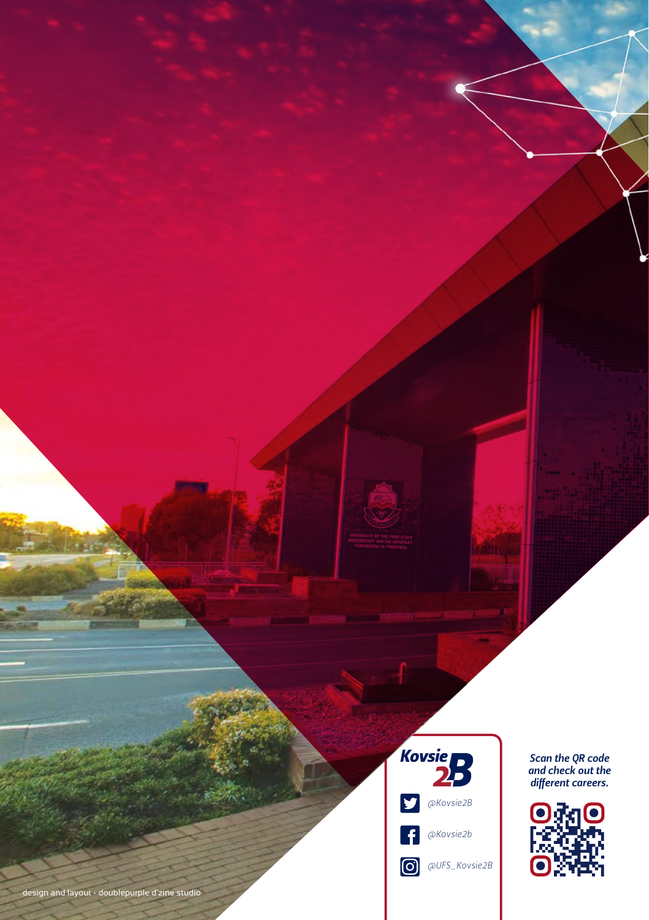

*Scan the QR code and check out the different careers.*

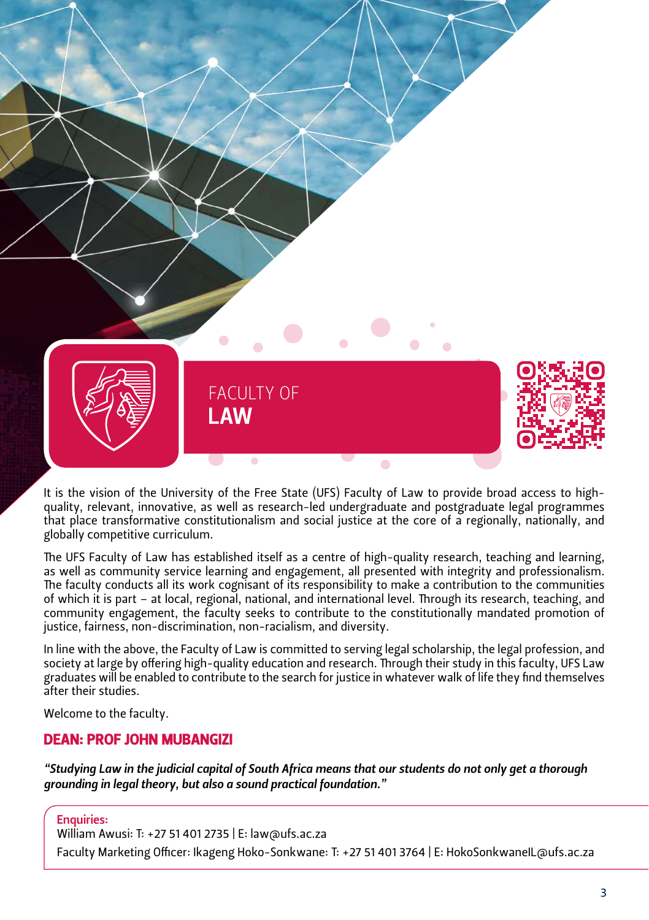

It is the vision of the University of the Free State (UFS) Faculty of Law to provide broad access to highquality, relevant, innovative, as well as research-led undergraduate and postgraduate legal programmes that place transformative constitutionalism and social justice at the core of a regionally, nationally, and globally competitive curriculum.

The UFS Faculty of Law has established itself as a centre of high-quality research, teaching and learning, as well as community service learning and engagement, all presented with integrity and professionalism. The faculty conducts all its work cognisant of its responsibility to make a contribution to the communities of which it is part – at local, regional, national, and international level. Through its research, teaching, and community engagement, the faculty seeks to contribute to the constitutionally mandated promotion of justice, fairness, non-discrimination, non-racialism, and diversity.

In line with the above, the Faculty of Law is committed to serving legal scholarship, the legal profession, and society at large by offering high-quality education and research. Through their study in this faculty, UFS Law graduates will be enabled to contribute to the search for justice in whatever walk of life they find themselves after their studies.

Welcome to the faculty.

#### DEAN: PROF JOHN MUBANGIZI

*"Studying Law in the judicial capital of South Africa means that our students do not only get a thorough grounding in legal theory, but also a sound practical foundation."*

Enquiries:

William Awusi: T: +27 51 401 2735 | E: law@ufs.ac.za

Faculty Marketing Officer: Ikageng Hoko-Sonkwane: T: +27 51 401 3764 | E: [HokoSonkwaneIL@ufs.ac.za](mailto:HokoSonkwaneIL@ufs.ac.za)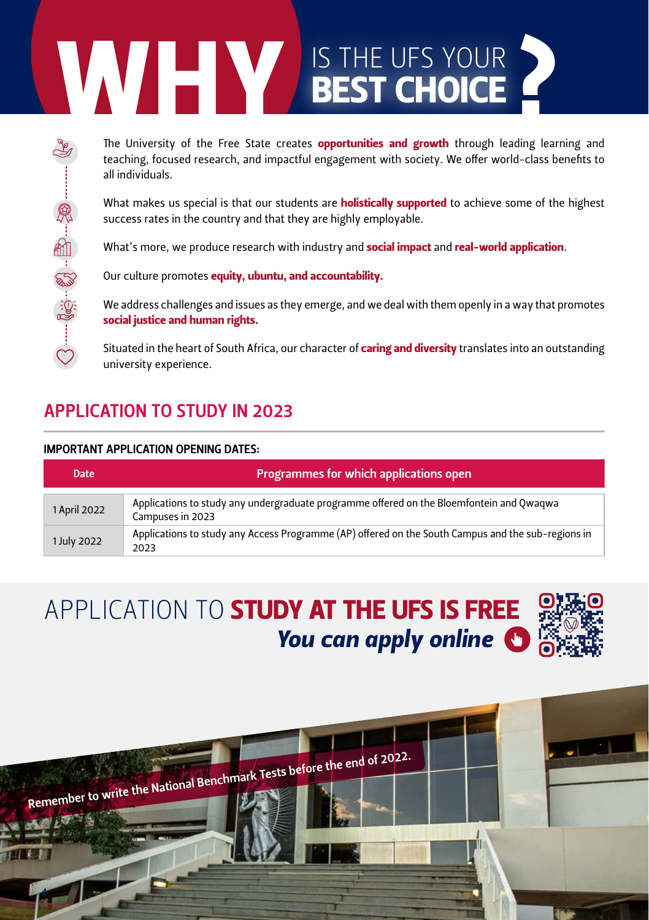# **IS THE UFS YOUR**<br> **BEST CHOICE**<br>
The University of the Free State creates opportunities and growth through leading lea<br>
teaching, focused research, and impactful engagement with society. We offer world-class to<br>
all indiv

The University of the Free State creates **opportunities and growth** through leading learning and teaching, focused research, and impactful engagement with society. We offer world-class benefits to all individuals.

What makes us special is that our students are **holistically supported** to achieve some of the highest success rates in the country and that they are highly employable.

What's more, we produce research with industry and **social impact** and **real-world application**.

Our culture promotes equity, ubuntu, and accountability.

We address challenges and issues as they emerge, and we deal with them openly in a way that promotes social justice and human rights.

Situated in the heart of South Africa, our character of **caring and diversity** translates into an outstanding university experience.

# APPLICATION TO STUDY IN 2023

#### IMPORTANT APPLICATION OPENING DATES:

| <b>Date</b>  | Programmes for which applications open                                                                       |  |  |  |  |  |
|--------------|--------------------------------------------------------------------------------------------------------------|--|--|--|--|--|
| 1 April 2022 | Applications to study any undergraduate programme offered on the Bloemfontein and Qwaqwa<br>Campuses in 2023 |  |  |  |  |  |
| 1 July 2022  | Applications to study any Access Programme (AP) offered on the South Campus and the sub-regions in<br>2023   |  |  |  |  |  |

# *You can apply online* APPLICATION TO **STUDY AT THE UFS IS FREE**

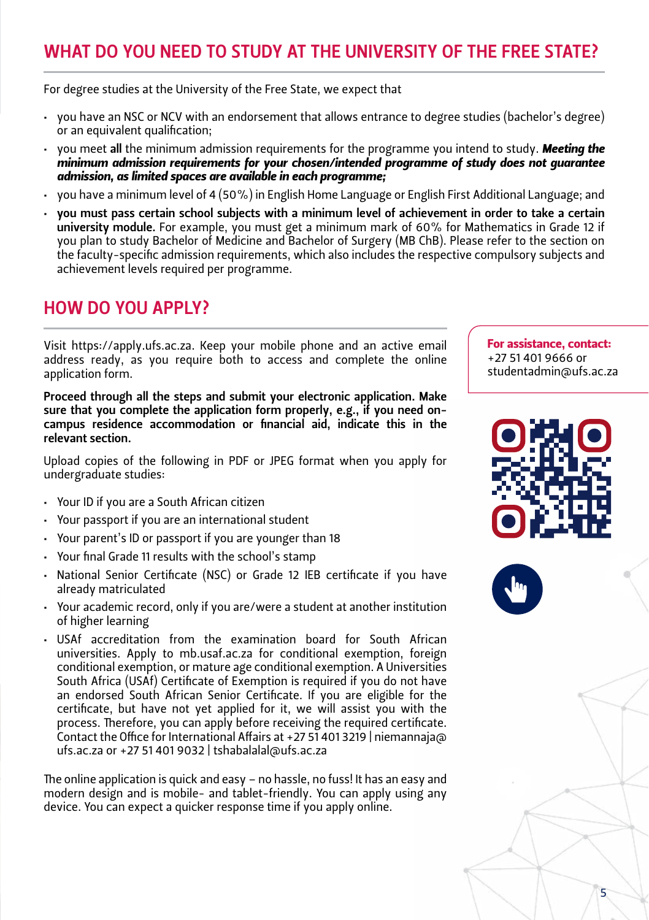# WHAT DO YOU NEED TO STUDY AT THE UNIVERSITY OF THE FREE STATE?

For degree studies at the University of the Free State, we expect that

- • you have an NSC or NCV with an endorsement that allows entrance to degree studies (bachelor's degree) or an equivalent qualification;
- you meet all the minimum admission requirements for the programme you intend to study. **Meeting the** *minimum admission requirements for your chosen/intended programme of study does not guarantee admission, as limited spaces are available in each programme;*
- you have a minimum level of 4 (50%) in English Home Language or English First Additional Language; and
- you must pass certain school subjects with a minimum level of achievement in order to take a certain university module. For example, you must get a minimum mark of 60% for Mathematics in Grade 12 if you plan to study Bachelor of Medicine and Bachelor of Surgery (MB ChB). Please refer to the section on the faculty-specific admission requirements, which also includes the respective compulsory subjects and achievement levels required per programme.

# HOW DO YOU APPLY?

Visit https://apply.ufs.ac.za. Keep your mobile phone and an active email address ready, as you require both to access and complete the online application form.

Proceed through all the steps and submit your electronic application. Make sure that you complete the application form properly, e.g., if you need oncampus residence accommodation or financial aid, indicate this in the relevant section.

Upload copies of the following in PDF or JPEG format when you apply for undergraduate studies:

- • Your ID if you are a South African citizen
- • Your passport if you are an international student
- • Your parent's ID or passport if you are younger than 18
- • Your final Grade 11 results with the school's stamp
- National Senior Certificate (NSC) or Grade 12 IEB certificate if you have already matriculated
- Your academic record, only if you are/were a student at another institution of higher learning
- • USAf accreditation from the examination board for South African universities. Apply to mb.usaf.ac.za for conditional exemption, foreign conditional exemption, or mature age conditional exemption. A Universities South Africa (USAf) Certificate of Exemption is required if you do not have an endorsed South African Senior Certificate. If you are eligible for the certificate, but have not yet applied for it, we will assist you with the process. Therefore, you can apply before receiving the required certificate. Contact the Office for International Affairs at +27 51 401 3219 | [niemannaja@](mailto:niemannaja@ufs.ac.za) [ufs.ac.za](mailto:niemannaja@ufs.ac.za) or +27 51 401 9032 | tshabalalal@ufs.ac.za

The online application is quick and easy – no hassle, no fuss! It has an easy and modern design and is mobile- and tablet-friendly. You can apply using any device. You can expect a quicker response time if you apply online.

For assistance, contact: +27 51 401 9666 or studentadmin@ufs.ac.za





5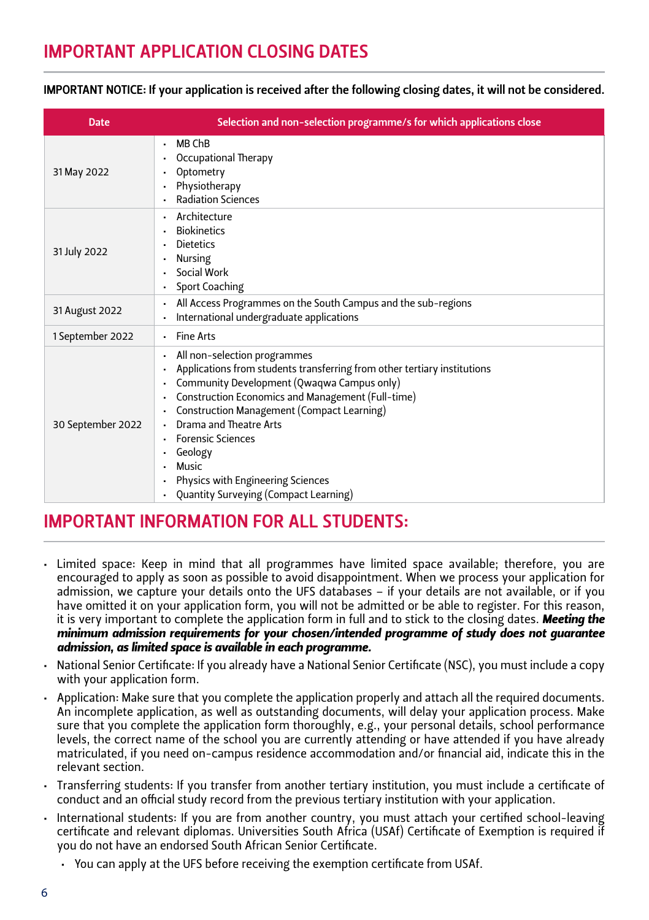IMPORTANT NOTICE: If your application is received after the following closing dates, it will not be considered.

| <b>Date</b>       | Selection and non-selection programme/s for which applications close                                                                                                                                                                                                                                                                                                                                              |
|-------------------|-------------------------------------------------------------------------------------------------------------------------------------------------------------------------------------------------------------------------------------------------------------------------------------------------------------------------------------------------------------------------------------------------------------------|
| 31 May 2022       | MB ChB<br>$\blacksquare$<br>Occupational Therapy<br>Optometry<br>Physiotherapy<br><b>Radiation Sciences</b>                                                                                                                                                                                                                                                                                                       |
| 31 July 2022      | Architecture<br><b>Biokinetics</b><br><b>Dietetics</b><br>Nursing<br>Social Work<br>Sport Coaching                                                                                                                                                                                                                                                                                                                |
| 31 August 2022    | All Access Programmes on the South Campus and the sub-regions<br>International undergraduate applications                                                                                                                                                                                                                                                                                                         |
| 1 September 2022  | - Fine Arts                                                                                                                                                                                                                                                                                                                                                                                                       |
| 30 September 2022 | All non-selection programmes<br>Applications from students transferring from other tertiary institutions<br>Community Development (Qwaqwa Campus only)<br>Construction Economics and Management (Full-time)<br>Construction Management (Compact Learning)<br>Drama and Theatre Arts<br><b>Forensic Sciences</b><br>Geology<br>Music<br>Physics with Engineering Sciences<br>Quantity Surveying (Compact Learning) |

# IMPORTANT INFORMATION FOR ALL STUDENTS:

- • Limited space: Keep in mind that all programmes have limited space available; therefore, you are encouraged to apply as soon as possible to avoid disappointment. When we process your application for admission, we capture your details onto the UFS databases – if your details are not available, or if you have omitted it on your application form, you will not be admitted or be able to register. For this reason, it is very important to complete the application form in full and to stick to the closing dates. *Meeting the minimum admission requirements for your chosen/intended programme of study does not guarantee admission, as limited space is available in each programme.*
- • National Senior Certificate: If you already have a National Senior Certificate (NSC), you must include a copy with your application form.
- • Application: Make sure that you complete the application properly and attach all the required documents. An incomplete application, as well as outstanding documents, will delay your application process. Make sure that you complete the application form thoroughly, e.g., your personal details, school performance levels, the correct name of the school you are currently attending or have attended if you have already matriculated, if you need on-campus residence accommodation and/or financial aid, indicate this in the relevant section.
- • Transferring students: If you transfer from another tertiary institution, you must include a certificate of conduct and an official study record from the previous tertiary institution with your application.
- • International students: If you are from another country, you must attach your certified school-leaving certificate and relevant diplomas. Universities South Africa (USAf) Certificate of Exemption is required if you do not have an endorsed South African Senior Certificate.
	- • You can apply at the UFS before receiving the exemption certificate from USAf.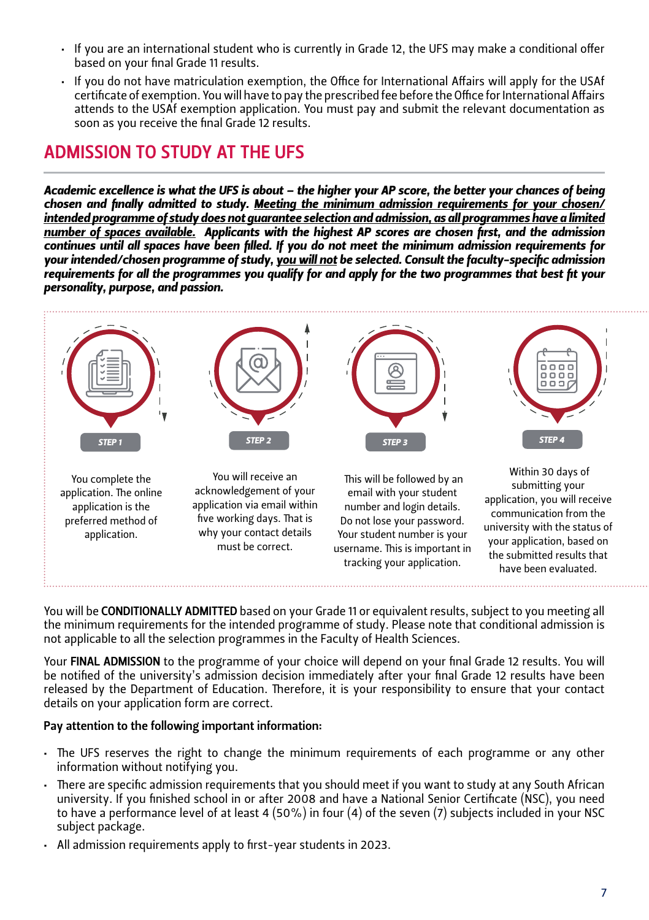- • If you are an international student who is currently in Grade 12, the UFS may make a conditional offer based on your final Grade 11 results.
- • If you do not have matriculation exemption, the Office for International Affairs will apply for the USAf certificate of exemption. You will have to pay the prescribed fee before the Office for International Affairs attends to the USAf exemption application. You must pay and submit the relevant documentation as soon as you receive the final Grade 12 results.

# ADMISSION TO STUDY AT THE UFS

*Academic excellence is what the UFS is about – the higher your AP score, the better your chances of being chosen and finally admitted to study. Meeting the minimum admission requirements for your chosen/ intended programme of study does not guarantee selection and admission, as all programmes have a limited number of spaces available. Applicants with the highest AP scores are chosen first, and the admission continues until all spaces have been filled. If you do not meet the minimum admission requirements for your intended/chosen programme of study, you will not be selected. Consult the faculty-specific admission requirements for all the programmes you qualify for and apply for the two programmes that best fit your personality, purpose, and passion.*



You will be CONDITIONALLY ADMITTED based on your Grade 11 or equivalent results, subject to you meeting all the minimum requirements for the intended programme of study. Please note that conditional admission is not applicable to all the selection programmes in the Faculty of Health Sciences.

Your FINAL ADMISSION to the programme of your choice will depend on your final Grade 12 results. You will be notified of the university's admission decision immediately after your final Grade 12 results have been released by the Department of Education. Therefore, it is your responsibility to ensure that your contact details on your application form are correct.

#### Pay attention to the following important information:

- • The UFS reserves the right to change the minimum requirements of each programme or any other information without notifying you.
- • There are specific admission requirements that you should meet if you want to study at any South African university. If you finished school in or after 2008 and have a National Senior Certificate (NSC), you need to have a performance level of at least 4 (50%) in four (4) of the seven (7) subjects included in your NSC subject package.
- • All admission requirements apply to first-year students in 2023.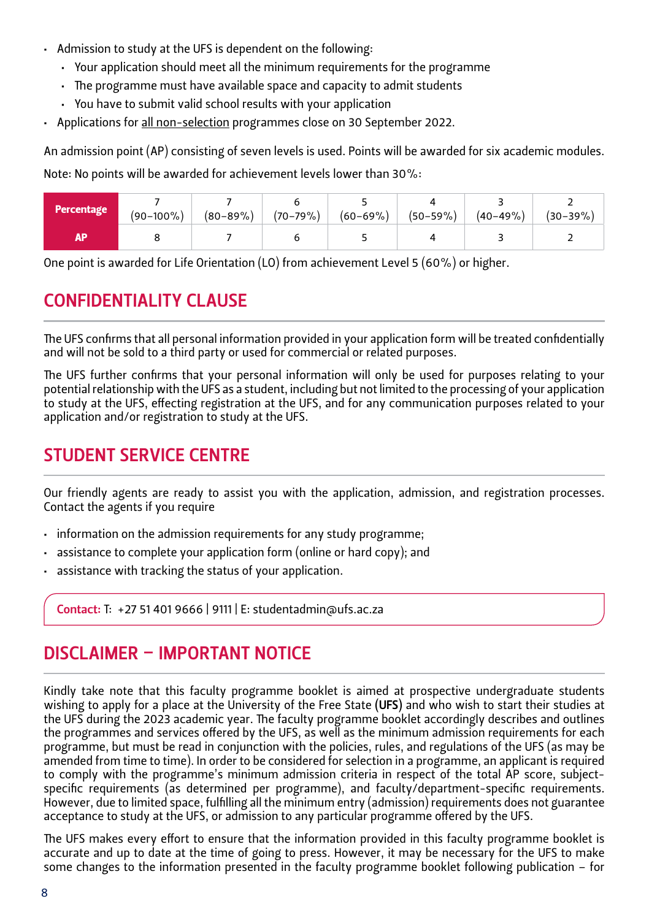- • Admission to study at the UFS is dependent on the following:
	- • Your application should meet all the minimum requirements for the programme
	- The programme must have available space and capacity to admit students
	- • You have to submit valid school results with your application
- • Applications for all non-selection programmes close on 30 September 2022.

An admission point (AP) consisting of seven levels is used. Points will be awarded for six academic modules.

Note: No points will be awarded for achievement levels lower than 30%:

| Percentage | $(90-100\%)$ |  | $(80-89\%)$ $(70-79\%)$ $(60-69\%)$ $(50-59\%)$ |  | $(40-49\%)$ $(30-39\%)$ |
|------------|--------------|--|-------------------------------------------------|--|-------------------------|
| АP         |              |  |                                                 |  |                         |

One point is awarded for Life Orientation (LO) from achievement Level 5 (60%) or higher.

# CONFIDENTIALITY CLAUSE

The UFS confirms that all personal information provided in your application form will be treated confidentially and will not be sold to a third party or used for commercial or related purposes.

The UFS further confirms that your personal information will only be used for purposes relating to your potential relationship with the UFS as a student, including but not limited to the processing of your application to study at the UFS, effecting registration at the UFS, and for any communication purposes related to your application and/or registration to study at the UFS.

# STUDENT SERVICE CENTRE

Our friendly agents are ready to assist you with the application, admission, and registration processes. Contact the agents if you require

- information on the admission requirements for any study programme;
- assistance to complete your application form (online or hard copy): and
- assistance with tracking the status of your application.

Contact: T: +27 51 401 9666 | 9111 | E: [studentadmin@ufs.ac.za](mailto:studentadmin@ufs.ac.za)

# DISCLAIMER – IMPORTANT NOTICE

Kindly take note that this faculty programme booklet is aimed at prospective undergraduate students wishing to apply for a place at the University of the Free State (UFS) and who wish to start their studies at the UFS during the 2023 academic year. The faculty programme booklet accordingly describes and outlines the programmes and services offered by the UFS, as well as the minimum admission requirements for each programme, but must be read in conjunction with the policies, rules, and regulations of the UFS (as may be amended from time to time). In order to be considered for selection in a programme, an applicant is required to comply with the programme's minimum admission criteria in respect of the total AP score, subjectspecific requirements (as determined per programme), and faculty/department-specific requirements. However, due to limited space, fulfilling all the minimum entry (admission) requirements does not guarantee acceptance to study at the UFS, or admission to any particular programme offered by the UFS.

The UFS makes every effort to ensure that the information provided in this faculty programme booklet is accurate and up to date at the time of going to press. However, it may be necessary for the UFS to make some changes to the information presented in the faculty programme booklet following publication – for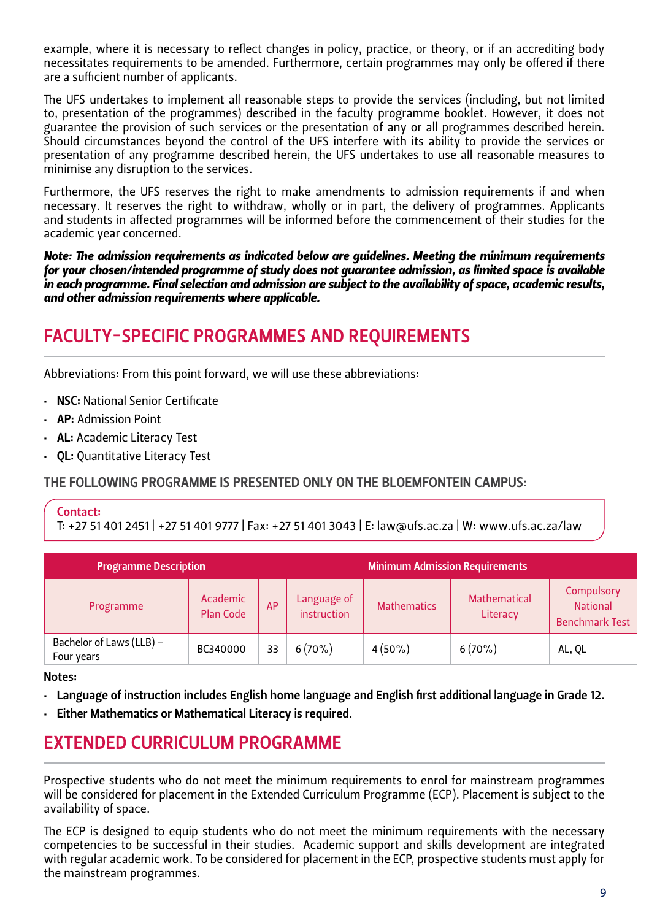example, where it is necessary to reflect changes in policy, practice, or theory, or if an accrediting body necessitates requirements to be amended. Furthermore, certain programmes may only be offered if there are a sufficient number of applicants.

The UFS undertakes to implement all reasonable steps to provide the services (including, but not limited to, presentation of the programmes) described in the faculty programme booklet. However, it does not guarantee the provision of such services or the presentation of any or all programmes described herein. Should circumstances beyond the control of the UFS interfere with its ability to provide the services or presentation of any programme described herein, the UFS undertakes to use all reasonable measures to minimise any disruption to the services.

Furthermore, the UFS reserves the right to make amendments to admission requirements if and when necessary. It reserves the right to withdraw, wholly or in part, the delivery of programmes. Applicants and students in affected programmes will be informed before the commencement of their studies for the academic year concerned.

*Note: The admission requirements as indicated below are guidelines. Meeting the minimum requirements for your chosen/intended programme of study does not guarantee admission, as limited space is available in each programme. Final selection and admission are subject to the availability of space, academic results, and other admission requirements where applicable.*

# FACULTY-SPECIFIC PROGRAMMES AND REQUIREMENTS

Abbreviations: From this point forward, we will use these abbreviations:

- **NSC: National Senior Certificate**
- • AP: Admission Point
- • AL: Academic Literacy Test
- • QL: Quantitative Literacy Test

THE FOLLOWING PROGRAMME IS PRESENTED ONLY ON THE BLOEMFONTEIN CAMPUS:

#### Contact:

T: +27 51 401 2451 | +27 51 401 9777 | Fax: +27 51 401 3043 | E: law@ufs.ac.za | W: [www.ufs.ac.za/law](http://www.ufs.ac.za/law)

| <b>Programme Description</b>           |                       | <b>Minimum Admission Requirements</b> |                            |                    |                          |                                                        |
|----------------------------------------|-----------------------|---------------------------------------|----------------------------|--------------------|--------------------------|--------------------------------------------------------|
| Programme                              | Academic<br>Plan Code | AP                                    | Language of<br>instruction | <b>Mathematics</b> | Mathematical<br>Literacy | Compulsory<br><b>National</b><br><b>Benchmark Test</b> |
| Bachelor of Laws (LLB) -<br>Four years | BC340000              | 33                                    | $6(70\%)$                  | $4(50\%)$          | $6(70\%)$                | AL, QL                                                 |

Notes:

- • Language of instruction includes English home language and English first additional language in Grade 12.
- Either Mathematics or Mathematical Literacy is required.

# EXTENDED CURRICULUM PROGRAMME

Prospective students who do not meet the minimum requirements to enrol for mainstream programmes will be considered for placement in the Extended Curriculum Programme (ECP). Placement is subject to the availability of space.

The ECP is designed to equip students who do not meet the minimum requirements with the necessary competencies to be successful in their studies. Academic support and skills development are integrated with regular academic work. To be considered for placement in the ECP, prospective students must apply for the mainstream programmes.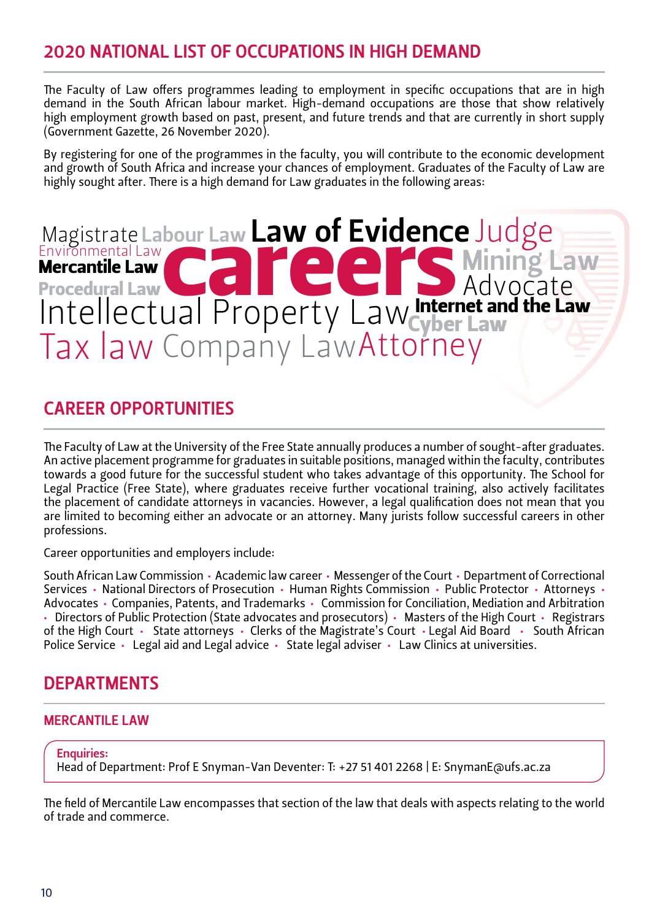# 2020 NATIONAL LIST OF OCCUPATIONS IN HIGH DEMAND

The Faculty of Law offers programmes leading to employment in specific occupations that are in high demand in the South African labour market. High-demand occupations are those that show relatively high employment growth based on past, present, and future trends and that are currently in short supply (Government Gazette, 26 November 2020).

By registering for one of the programmes in the faculty, you will contribute to the economic development and growth of South Africa and increase your chances of employment. Graduates of the Faculty of Law are highly sought after. There is a high demand for Law graduates in the following areas:

#### Magistrate Labour Law Law of Evidence Judge bour Law Law of Evidence dari roperty LawcyberLaw<br>Company Law Attorney Environmental Law Intellectual Property Law **ENVIRONMENTALISM** Procedural Law Tax law Internet and the Law Attorney Advocate

# CAREER OPPORTUNITIES

The Faculty of Law at the University of the Free State annually produces a number of sought-after graduates. An active placement programme for graduates in suitable positions, managed within the faculty, contributes towards a good future for the successful student who takes advantage of this opportunity. The School for Legal Practice (Free State), where graduates receive further vocational training, also actively facilitates the placement of candidate attorneys in vacancies. However, a legal qualification does not mean that you are limited to becoming either an advocate or an attorney. Many jurists follow successful careers in other professions.

Career opportunities and employers include:

South African Law Commission • Academic law career • Messenger of the Court • Department of Correctional Services • National Directors of Prosecution • Human Rights Commission • Public Protector • Attorneys • Advocates • Companies, Patents, and Trademarks • Commission for Conciliation, Mediation and Arbitration • Directors of Public Protection (State advocates and prosecutors) • Masters of the High Court • Registrars of the High Court • State attorneys • Clerks of the Magistrate's Court • Legal Aid Board • South African Police Service • Legal aid and Legal advice • State legal adviser • Law Clinics at universities.

## DEPARTMENTS

#### MERCANTILE LAW

Enquiries:

Head of Department: Prof E Snyman-Van Deventer: T: +27 51 401 2268 | E: SnymanE@ufs.ac.za

The field of Mercantile Law encompasses that section of the law that deals with aspects relating to the world of trade and commerce.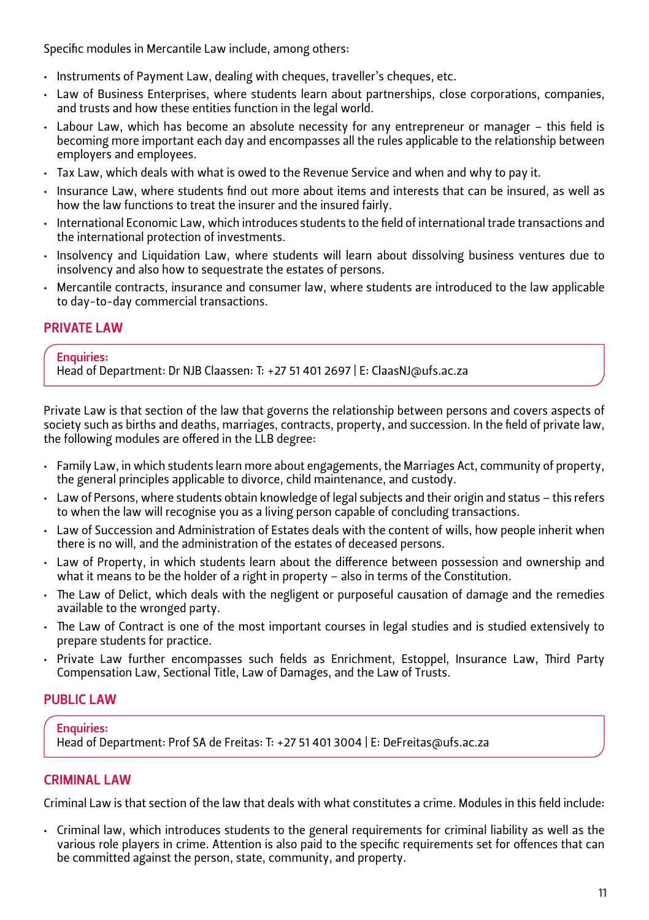Specific modules in Mercantile Law include, among others:

- Instruments of Payment Law, dealing with cheques, traveller's cheques, etc.
- • Law of Business Enterprises, where students learn about partnerships, close corporations, companies, and trusts and how these entities function in the legal world.
- • Labour Law, which has become an absolute necessity for any entrepreneur or manager this field is becoming more important each day and encompasses all the rules applicable to the relationship between employers and employees.
- • Tax Law, which deals with what is owed to the Revenue Service and when and why to pay it.
- • Insurance Law, where students find out more about items and interests that can be insured, as well as how the law functions to treat the insurer and the insured fairly.
- • International Economic Law, which introduces students to the field of international trade transactions and the international protection of investments.
- • Insolvency and Liquidation Law, where students will learn about dissolving business ventures due to insolvency and also how to sequestrate the estates of persons.
- • Mercantile contracts, insurance and consumer law, where students are introduced to the law applicable to day-to-day commercial transactions.

### **PRIVATE LAW**

#### Enquiries:

Head of Department: Dr NJB Claassen: T: +27 51 401 2697 | E: ClaasNJ@ufs.ac.za

Private Law is that section of the law that governs the relationship between persons and covers aspects of society such as births and deaths, marriages, contracts, property, and succession. In the field of private law, the following modules are offered in the LLB degree:

- • Family Law, in which students learn more about engagements, the Marriages Act, community of property, the general principles applicable to divorce, child maintenance, and custody.
- • Law of Persons, where students obtain knowledge of legal subjects and their origin and status this refers to when the law will recognise you as a living person capable of concluding transactions.
- • Law of Succession and Administration of Estates deals with the content of wills, how people inherit when there is no will, and the administration of the estates of deceased persons.
- • Law of Property, in which students learn about the difference between possession and ownership and what it means to be the holder of a right in property – also in terms of the Constitution.
- • The Law of Delict, which deals with the negligent or purposeful causation of damage and the remedies available to the wronged party.
- • The Law of Contract is one of the most important courses in legal studies and is studied extensively to prepare students for practice.
- • Private Law further encompasses such fields as Enrichment, Estoppel, Insurance Law, Third Party Compensation Law, Sectional Title, Law of Damages, and the Law of Trusts.

### PUBLIC LAW

Enquiries: Head of Department: Prof SA de Freitas: T: +27 51 401 3004 | E: DeFreitas@ufs.ac.za

#### **CRIMINAL LAW**

Criminal Law is that section of the law that deals with what constitutes a crime. Modules in this field include:

• Criminal law, which introduces students to the general requirements for criminal liability as well as the various role players in crime. Attention is also paid to the specific requirements set for offences that can be committed against the person, state, community, and property.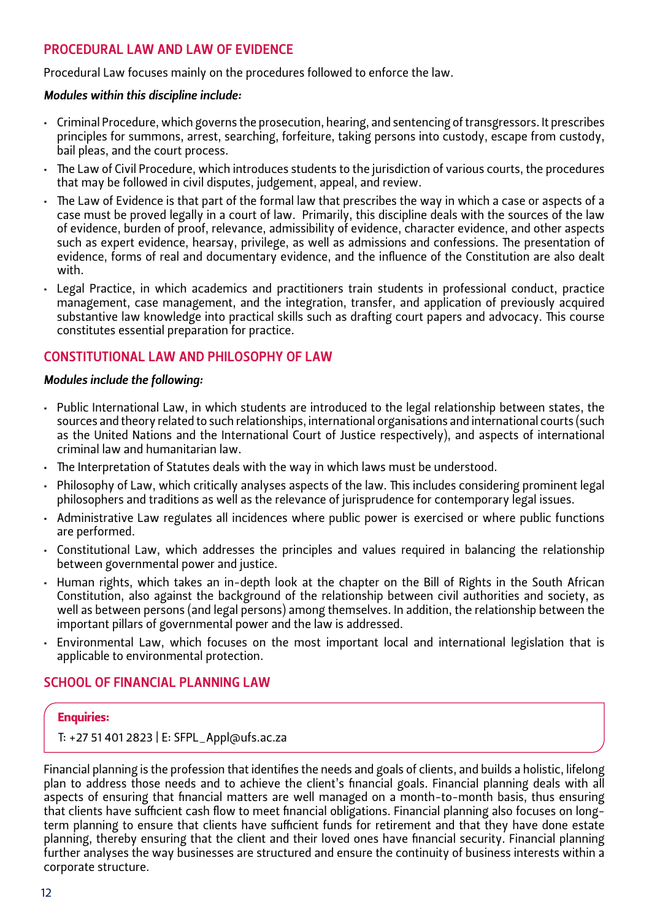#### PROCEDURAL LAW AND LAW OF EVIDENCE

Procedural Law focuses mainly on the procedures followed to enforce the law.

#### *Modules within this discipline include:*

- • Criminal Procedure, which governs the prosecution, hearing, and sentencing of transgressors. It prescribes principles for summons, arrest, searching, forfeiture, taking persons into custody, escape from custody, bail pleas, and the court process.
- • The Law of Civil Procedure, which introduces students to the jurisdiction of various courts, the procedures that may be followed in civil disputes, judgement, appeal, and review.
- • The Law of Evidence is that part of the formal law that prescribes the way in which a case or aspects of a case must be proved legally in a court of law. Primarily, this discipline deals with the sources of the law of evidence, burden of proof, relevance, admissibility of evidence, character evidence, and other aspects such as expert evidence, hearsay, privilege, as well as admissions and confessions. The presentation of evidence, forms of real and documentary evidence, and the influence of the Constitution are also dealt with.
- • Legal Practice, in which academics and practitioners train students in professional conduct, practice management, case management, and the integration, transfer, and application of previously acquired substantive law knowledge into practical skills such as drafting court papers and advocacy. This course constitutes essential preparation for practice.

#### Constitutional Law and Philosophy of Law

#### *Modules include the following:*

- • Public International Law, in which students are introduced to the legal relationship between states, the sources and theory related to such relationships, international organisations and international courts (such as the United Nations and the International Court of Justice respectively), and aspects of international criminal law and humanitarian law.
- • The Interpretation of Statutes deals with the way in which laws must be understood.
- • Philosophy of Law, which critically analyses aspects of the law. This includes considering prominent legal philosophers and traditions as well as the relevance of jurisprudence for contemporary legal issues.
- • Administrative Law regulates all incidences where public power is exercised or where public functions are performed.
- • Constitutional Law, which addresses the principles and values required in balancing the relationship between governmental power and justice.
- • Human rights, which takes an in-depth look at the chapter on the Bill of Rights in the South African Constitution, also against the background of the relationship between civil authorities and society, as well as between persons (and legal persons) among themselves. In addition, the relationship between the important pillars of governmental power and the law is addressed.
- • Environmental Law, which focuses on the most important local and international legislation that is applicable to environmental protection.

#### SCHOOL OF FINANCIAL PLANNING LAW

#### Enquiries:

T: +27 51 401 2823 | E: [SFPL\\_Appl@ufs.ac.za](mailto:SFPL_Appl@ufs.ac.za)

Financial planning is the profession that identifies the needs and goals of clients, and builds a holistic, lifelong plan to address those needs and to achieve the client's financial goals. Financial planning deals with all aspects of ensuring that financial matters are well managed on a month-to-month basis, thus ensuring that clients have sufficient cash flow to meet financial obligations. Financial planning also focuses on longterm planning to ensure that clients have sufficient funds for retirement and that they have done estate planning, thereby ensuring that the client and their loved ones have financial security. Financial planning further analyses the way businesses are structured and ensure the continuity of business interests within a corporate structure.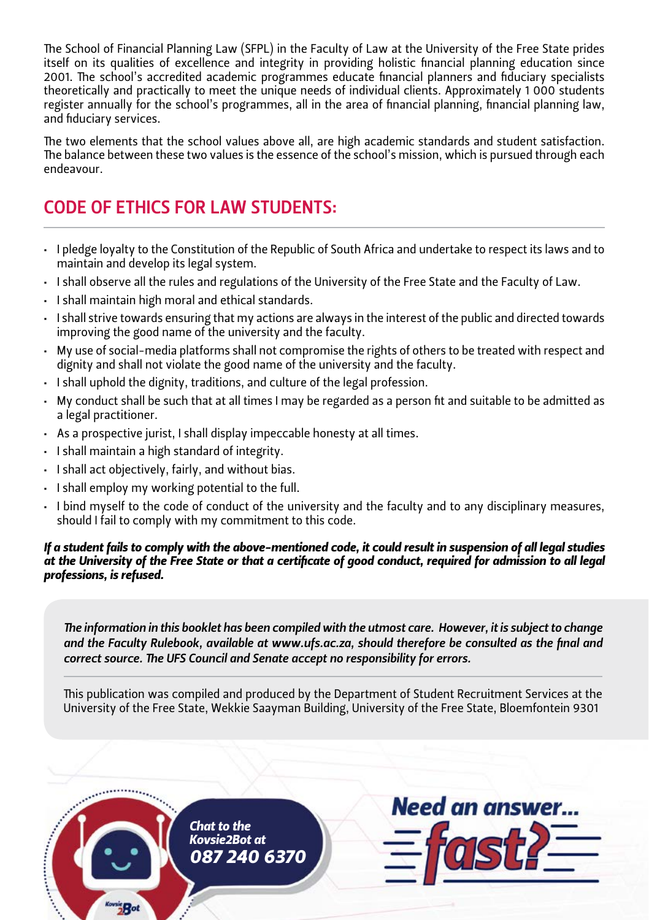The School of Financial Planning Law (SFPL) in the Faculty of Law at the University of the Free State prides itself on its qualities of excellence and integrity in providing holistic financial planning education since 2001. The school's accredited academic programmes educate financial planners and fiduciary specialists theoretically and practically to meet the unique needs of individual clients. Approximately 1 000 students register annually for the school's programmes, all in the area of financial planning, financial planning law, and fiduciary services.

The two elements that the school values above all, are high academic standards and student satisfaction. The balance between these two values is the essence of the school's mission, which is pursued through each endeavour.

# CODE OF ETHICS FOR LAW STUDENTS:

- • I pledge loyalty to the Constitution of the Republic of South Africa and undertake to respect its laws and to maintain and develop its legal system.
- • I shall observe all the rules and regulations of the University of the Free State and the Faculty of Law.
- I shall maintain high moral and ethical standards.
- • I shall strive towards ensuring that my actions are always in the interest of the public and directed towards improving the good name of the university and the faculty.
- • My use of social-media platforms shall not compromise the rights of others to be treated with respect and dignity and shall not violate the good name of the university and the faculty.
- I shall uphold the dignity, traditions, and culture of the legal profession.
- • My conduct shall be such that at all times I may be regarded as a person fit and suitable to be admitted as a legal practitioner.
- • As a prospective jurist, I shall display impeccable honesty at all times.
- • I shall maintain a high standard of integrity.
- • I shall act objectively, fairly, and without bias.
- • I shall employ my working potential to the full.
- • I bind myself to the code of conduct of the university and the faculty and to any disciplinary measures, should I fail to comply with my commitment to this code.

*If a student fails to comply with the above-mentioned code, it could result in suspension of all legal studies at the University of the Free State or that a certificate of good conduct, required for admission to all legal professions, is refused.*

*The information in this booklet has been compiled with the utmost care. However, it is subject to change and the Faculty Rulebook, available at www.ufs.ac.za, should therefore be consulted as the final and correct source. The UFS Council and Senate accept no responsibility for errors.*

This publication was compiled and produced by the Department of Student Recruitment Services at the University of the Free State, Wekkie Saayman Building, University of the Free State, Bloemfontein 9301

**Need an answer...** *Chat to the Kovsie2Bot at 087 240 6370*